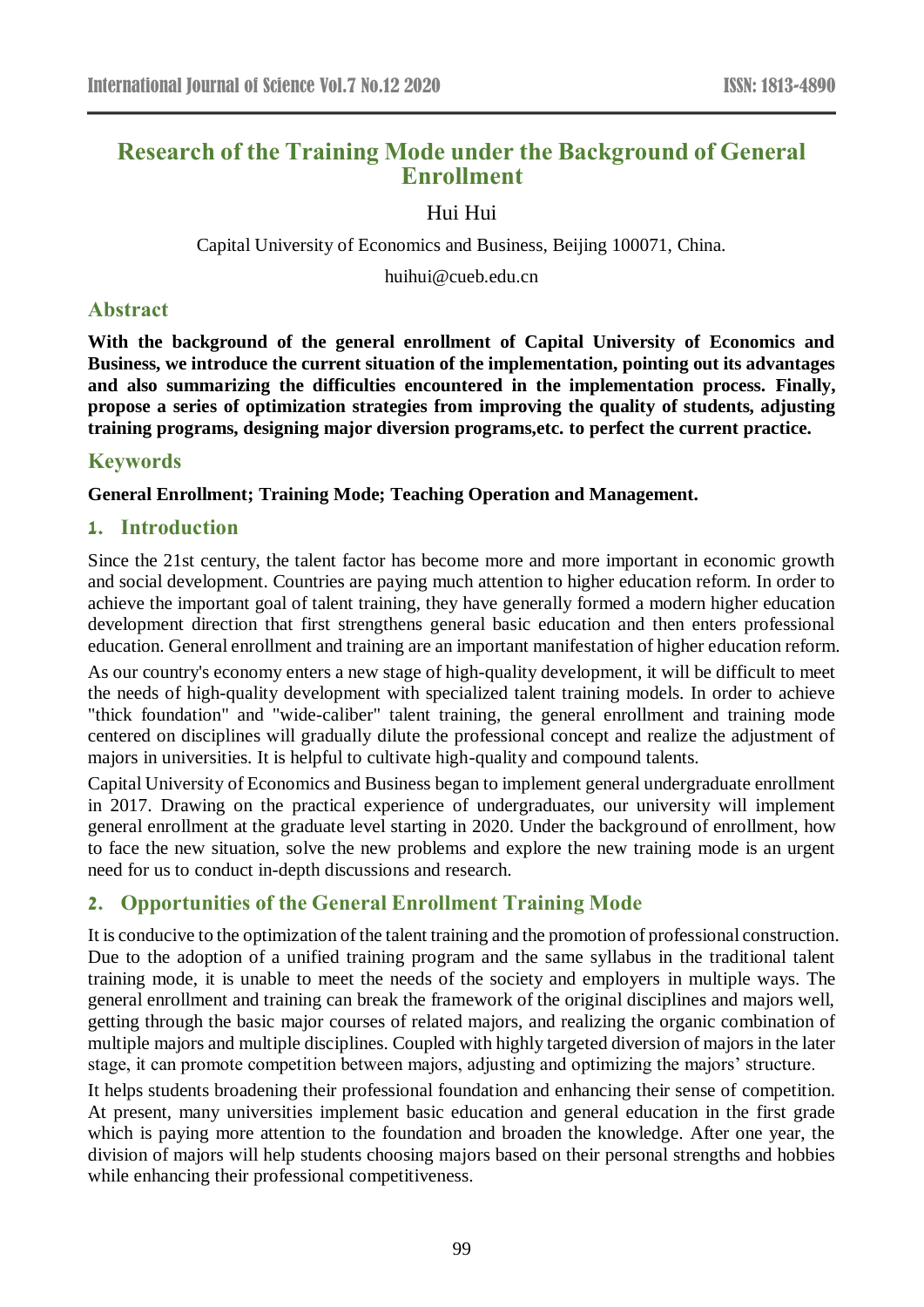# **Research of the Training Mode under the Background of General Enrollment**

Hui Hui

Capital University of Economics and Business, Beijing 100071, China.

huihui@cueb.edu.cn

# **Abstract**

**With the background of the general enrollment of Capital University of Economics and Business, we introduce the current situation of the implementation, pointing out its advantages and also summarizing the difficulties encountered in the implementation process. Finally, propose a series of optimization strategies from improving the quality of students, adjusting training programs, designing major diversion programs,etc. to perfect the current practice.**

## **Keywords**

#### **General Enrollment; Training Mode; Teaching Operation and Management.**

## **1. Introduction**

Since the 21st century, the talent factor has become more and more important in economic growth and social development. Countries are paying much attention to higher education reform. In order to achieve the important goal of talent training, they have generally formed a modern higher education development direction that first strengthens general basic education and then enters professional education. General enrollment and training are an important manifestation of higher education reform.

As our country's economy enters a new stage of high-quality development, it will be difficult to meet the needs of high-quality development with specialized talent training models. In order to achieve "thick foundation" and "wide-caliber" talent training, the general enrollment and training mode centered on disciplines will gradually dilute the professional concept and realize the adjustment of majors in universities. It is helpful to cultivate high-quality and compound talents.

Capital University of Economics and Business began to implement general undergraduate enrollment in 2017. Drawing on the practical experience of undergraduates, our university will implement general enrollment at the graduate level starting in 2020. Under the background of enrollment, how to face the new situation, solve the new problems and explore the new training mode is an urgent need for us to conduct in-depth discussions and research.

# **2. Opportunities of the General Enrollment Training Mode**

It is conducive to the optimization of the talent training and the promotion of professional construction. Due to the adoption of a unified training program and the same syllabus in the traditional talent training mode, it is unable to meet the needs of the society and employers in multiple ways. The general enrollment and training can break the framework of the original disciplines and majors well, getting through the basic major courses of related majors, and realizing the organic combination of multiple majors and multiple disciplines. Coupled with highly targeted diversion of majors in the later stage, it can promote competition between majors, adjusting and optimizing the majors' structure.

It helps students broadening their professional foundation and enhancing their sense of competition. At present, many universities implement basic education and general education in the first grade which is paying more attention to the foundation and broaden the knowledge. After one year, the division of majors will help students choosing majors based on their personal strengths and hobbies while enhancing their professional competitiveness.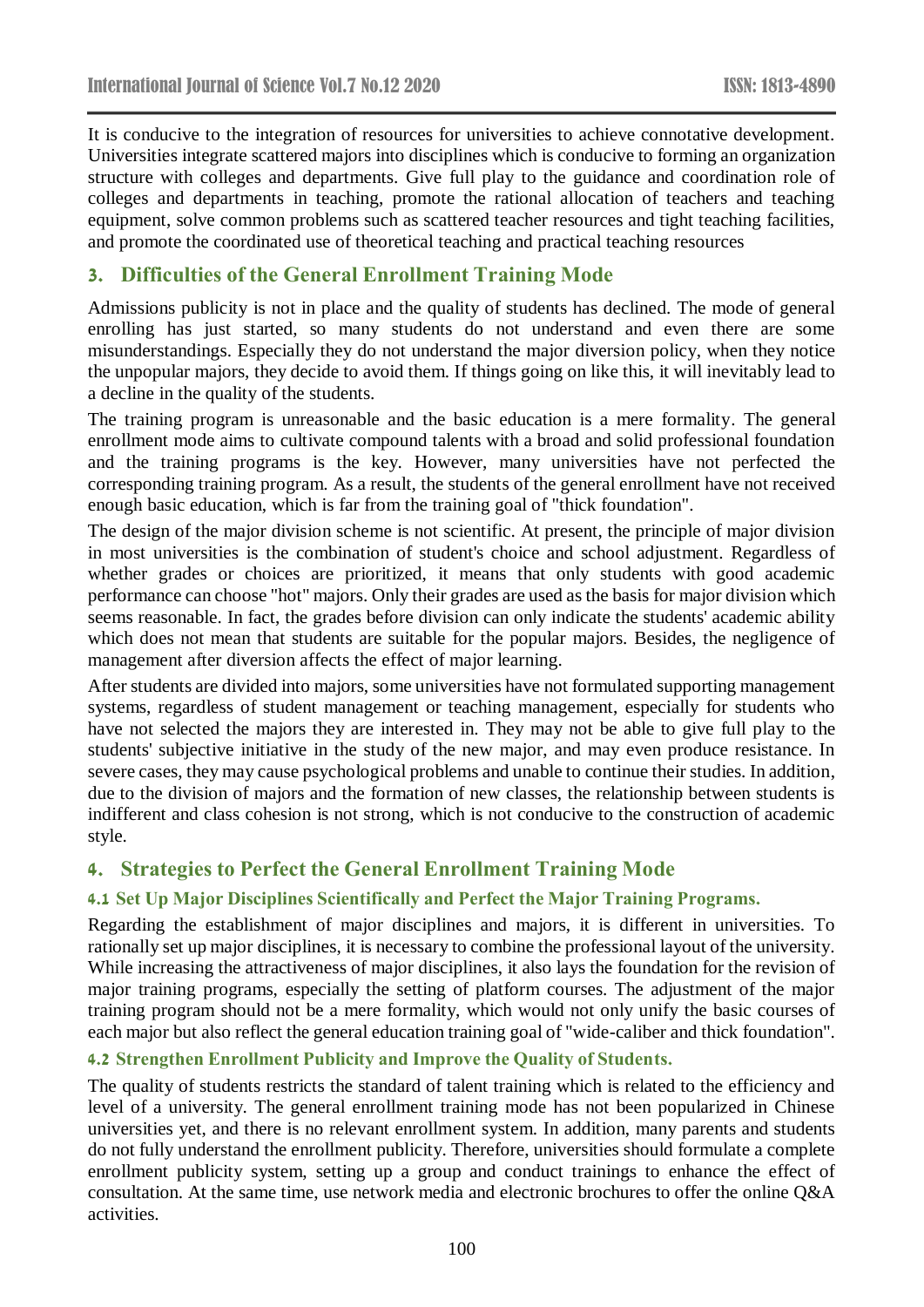It is conducive to the integration of resources for universities to achieve connotative development. Universities integrate scattered majors into disciplines which is conducive to forming an organization structure with colleges and departments. Give full play to the guidance and coordination role of colleges and departments in teaching, promote the rational allocation of teachers and teaching equipment, solve common problems such as scattered teacher resources and tight teaching facilities, and promote the coordinated use of theoretical teaching and practical teaching resources

# **3. Difficulties of the General Enrollment Training Mode**

Admissions publicity is not in place and the quality of students has declined. The mode of general enrolling has just started, so many students do not understand and even there are some misunderstandings. Especially they do not understand the major diversion policy, when they notice the unpopular majors, they decide to avoid them. If things going on like this, it will inevitably lead to a decline in the quality of the students.

The training program is unreasonable and the basic education is a mere formality. The general enrollment mode aims to cultivate compound talents with a broad and solid professional foundation and the training programs is the key. However, many universities have not perfected the corresponding training program. As a result, the students of the general enrollment have not received enough basic education, which is far from the training goal of "thick foundation".

The design of the major division scheme is not scientific. At present, the principle of major division in most universities is the combination of student's choice and school adjustment. Regardless of whether grades or choices are prioritized, it means that only students with good academic performance can choose "hot" majors. Only their grades are used as the basis for major division which seems reasonable. In fact, the grades before division can only indicate the students' academic ability which does not mean that students are suitable for the popular majors. Besides, the negligence of management after diversion affects the effect of major learning.

After students are divided into majors, some universities have not formulated supporting management systems, regardless of student management or teaching management, especially for students who have not selected the majors they are interested in. They may not be able to give full play to the students' subjective initiative in the study of the new major, and may even produce resistance. In severe cases, they may cause psychological problems and unable to continue their studies. In addition, due to the division of majors and the formation of new classes, the relationship between students is indifferent and class cohesion is not strong, which is not conducive to the construction of academic style.

# **4. Strategies to Perfect the General Enrollment Training Mode**

#### **4.1 Set Up Major Disciplines Scientifically and Perfect the Major Training Programs.**

Regarding the establishment of major disciplines and majors, it is different in universities. To rationally set up major disciplines, it is necessary to combine the professional layout of the university. While increasing the attractiveness of major disciplines, it also lays the foundation for the revision of major training programs, especially the setting of platform courses. The adjustment of the major training program should not be a mere formality, which would not only unify the basic courses of each major but also reflect the general education training goal of "wide-caliber and thick foundation".

#### **4.2 Strengthen Enrollment Publicity and Improve the Quality of Students.**

The quality of students restricts the standard of talent training which is related to the efficiency and level of a university. The general enrollment training mode has not been popularized in Chinese universities yet, and there is no relevant enrollment system. In addition, many parents and students do not fully understand the enrollment publicity. Therefore, universities should formulate a complete enrollment publicity system, setting up a group and conduct trainings to enhance the effect of consultation. At the same time, use network media and electronic brochures to offer the online Q&A activities.